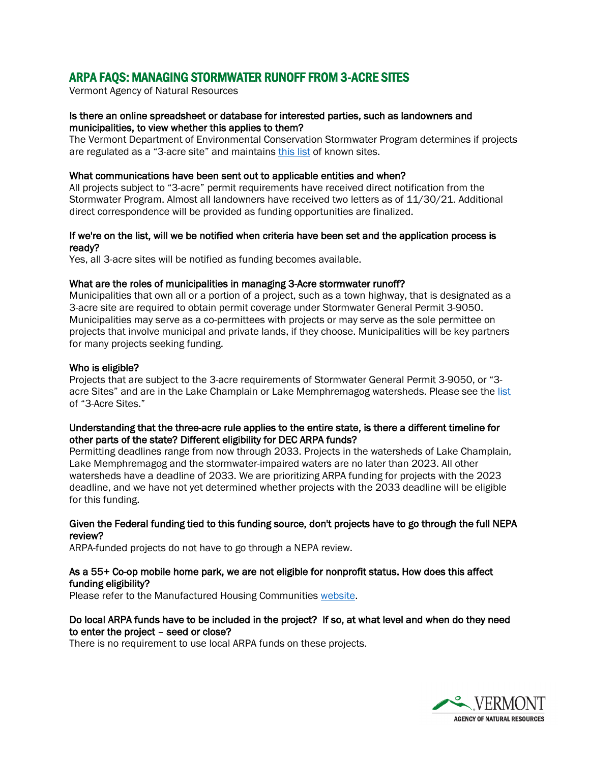# ARPA FAQS: MANAGING STORMWATER RUNOFF FROM 3-ACRE SITES

Vermont Agency of Natural Resources

## Is there an online spreadsheet or database for interested parties, such as landowners and municipalities, to view whether this applies to them?

The Vermont Department of Environmental Conservation Stormwater Program determines if projects are regulated as a "3-acre site" and maintains [this](https://dec.vermont.gov/watershed/stormwater/9050/3-acre-properties) list of known sites.

## What communications have been sent out to applicable entities and when?

All projects subject to "3-acre" permit requirements have received direct notification from the Stormwater Program. Almost all landowners have received two letters as of 11/30/21. Additional direct correspondence will be provided as funding opportunities are finalized.

## If we're on the list, will we be notified when criteria have been set and the application process is ready?

Yes, all 3-acre sites will be notified as funding becomes available.

## What are the roles of municipalities in managing 3-Acre stormwater runoff?

Municipalities that own all or a portion of a project, such as a town highway, that is designated as a 3-acre site are required to obtain permit coverage under Stormwater General Permit 3-9050. Municipalities may serve as a co-permittees with projects or may serve as the sole permittee on projects that involve municipal and private lands, if they choose. Municipalities will be key partners for many projects seeking funding.

## Who is eligible?

Projects that are subject to the 3-acre requirements of Stormwater General Permit 3-9050, or "3 acre Sites" and are in the Lake Champlain or Lake Memphremagog watersheds. Please see the [list](https://dec.vermont.gov/sites/dec/files/wsm/stormwater/docs/9050/3acreList_09252020.pdf) of "3-Acre Sites."

## Understanding that the three-acre rule applies to the entire state, is there a different timeline for other parts of the state? Different eligibility for DEC ARPA funds?

Permitting deadlines range from now through 2033. Projects in the watersheds of Lake Champlain, Lake Memphremagog and the stormwater-impaired waters are no later than 2023. All other watersheds have a deadline of 2033. We are prioritizing ARPA funding for projects with the 2023 deadline, and we have not yet determined whether projects with the 2033 deadline will be eligible for this funding.

## Given the Federal funding tied to this funding source, don't projects have to go through the full NEPA review?

ARPA-funded projects do not have to go through a NEPA review.

## As a 55+ Co-op mobile home park, we are not eligible for nonprofit status. How does this affect funding eligibility?

Please refer to the Manufactured Housing Communities [website.](https://anr.vermont.gov/content/manufactured-housing-community-solutions)

# Do local ARPA funds have to be included in the project? If so, at what level and when do they need to enter the project – seed or close?

There is no requirement to use local ARPA funds on these projects.